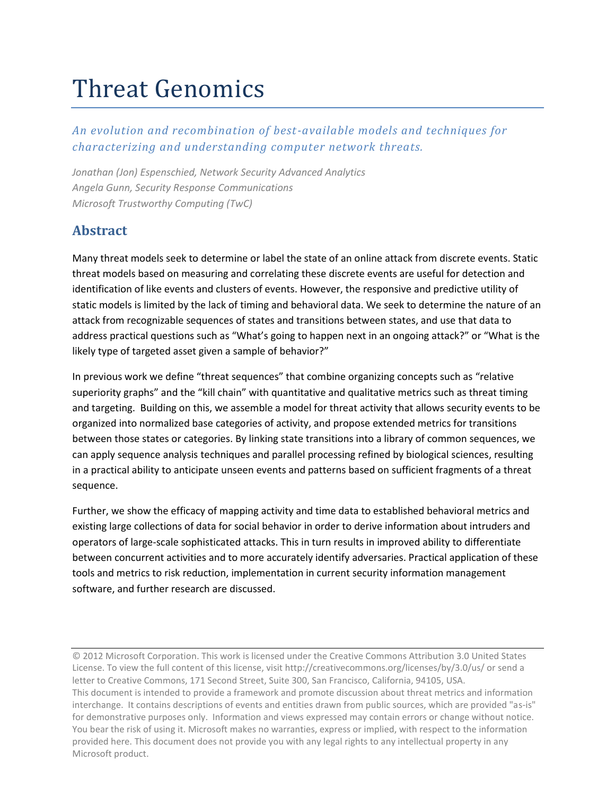# Threat Genomics

### *An evolution and recombination of best-available models and techniques for characterizing and understanding computer network threats.*

*Jonathan (Jon) Espenschied, Network Security Advanced Analytics Angela Gunn, Security Response Communications Microsoft Trustworthy Computing (TwC)*

# **Abstract**

Many threat models seek to determine or label the state of an online attack from discrete events. Static threat models based on measuring and correlating these discrete events are useful for detection and identification of like events and clusters of events. However, the responsive and predictive utility of static models is limited by the lack of timing and behavioral data. We seek to determine the nature of an attack from recognizable sequences of states and transitions between states, and use that data to address practical questions such as "What's going to happen next in an ongoing attack?" or "What is the likely type of targeted asset given a sample of behavior?"

In previous work we define "threat sequences" that combine organizing concepts such as "relative superiority graphs" and the "kill chain" with quantitative and qualitative metrics such as threat timing and targeting. Building on this, we assemble a model for threat activity that allows security events to be organized into normalized base categories of activity, and propose extended metrics for transitions between those states or categories. By linking state transitions into a library of common sequences, we can apply sequence analysis techniques and parallel processing refined by biological sciences, resulting in a practical ability to anticipate unseen events and patterns based on sufficient fragments of a threat sequence.

Further, we show the efficacy of mapping activity and time data to established behavioral metrics and existing large collections of data for social behavior in order to derive information about intruders and operators of large-scale sophisticated attacks. This in turn results in improved ability to differentiate between concurrent activities and to more accurately identify adversaries. Practical application of these tools and metrics to risk reduction, implementation in current security information management software, and further research are discussed.

© 2012 Microsoft Corporation. This work is licensed under the Creative Commons Attribution 3.0 United States License. To view the full content of this license, visit http://creativecommons.org/licenses/by/3.0/us/ or send a letter to Creative Commons, 171 Second Street, Suite 300, San Francisco, California, 94105, USA. This document is intended to provide a framework and promote discussion about threat metrics and information interchange. It contains descriptions of events and entities drawn from public sources, which are provided "as-is" for demonstrative purposes only. Information and views expressed may contain errors or change without notice. You bear the risk of using it. Microsoft makes no warranties, express or implied, with respect to the information provided here. This document does not provide you with any legal rights to any intellectual property in any Microsoft product.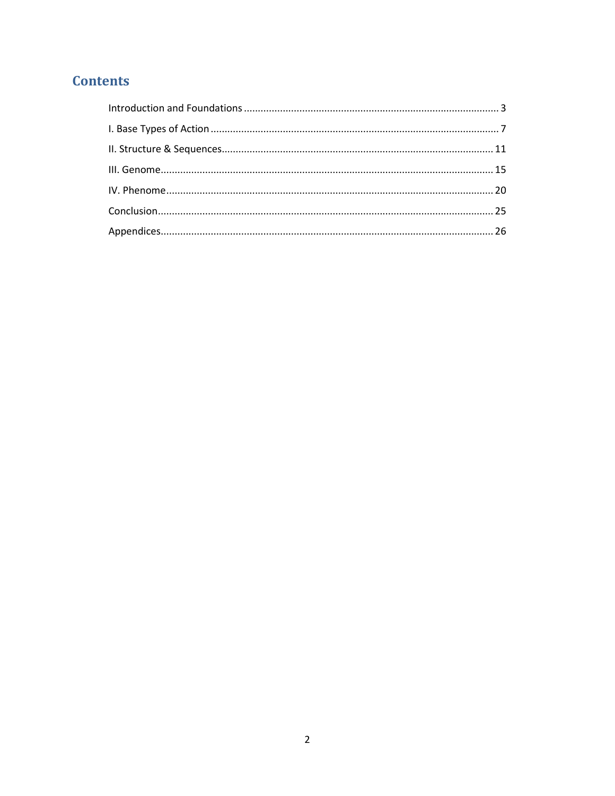# **Contents**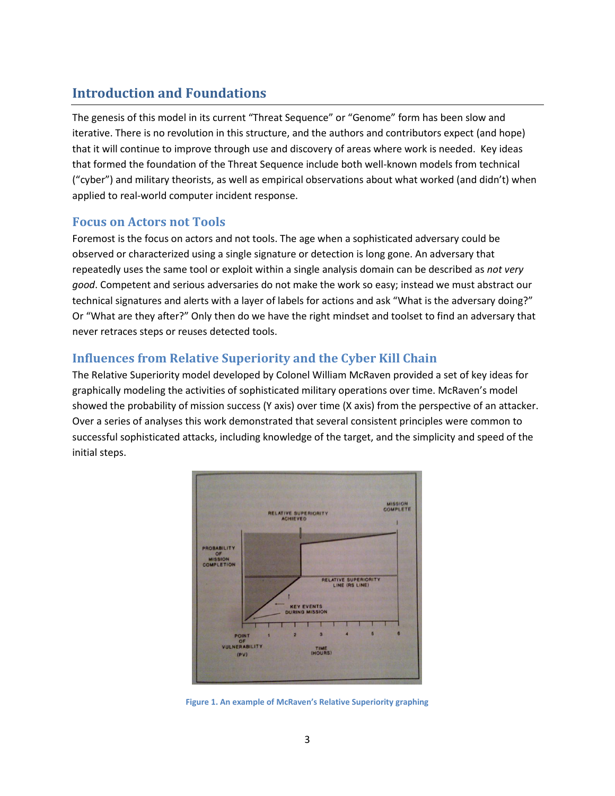# <span id="page-2-0"></span>**Introduction and Foundations**

The genesis of this model in its current "Threat Sequence" or "Genome" form has been slow and iterative. There is no revolution in this structure, and the authors and contributors expect (and hope) that it will continue to improve through use and discovery of areas where work is needed. Key ideas that formed the foundation of the Threat Sequence include both well-known models from technical ("cyber") and military theorists, as well as empirical observations about what worked (and didn't) when applied to real-world computer incident response.

### **Focus on Actors not Tools**

Foremost is the focus on actors and not tools. The age when a sophisticated adversary could be observed or characterized using a single signature or detection is long gone. An adversary that repeatedly uses the same tool or exploit within a single analysis domain can be described as *not very good*. Competent and serious adversaries do not make the work so easy; instead we must abstract our technical signatures and alerts with a layer of labels for actions and ask "What is the adversary doing?" Or "What are they after?" Only then do we have the right mindset and toolset to find an adversary that never retraces steps or reuses detected tools.

### **Influences from Relative Superiority and the Cyber Kill Chain**

The Relative Superiority model developed by Colonel William McRaven provided a set of key ideas for graphically modeling the activities of sophisticated military operations over time. McRaven's model showed the probability of mission success (Y axis) over time (X axis) from the perspective of an attacker. Over a series of analyses this work demonstrated that several consistent principles were common to successful sophisticated attacks, including knowledge of the target, and the simplicity and speed of the initial steps.



**Figure 1. An example of McRaven's Relative Superiority graphing**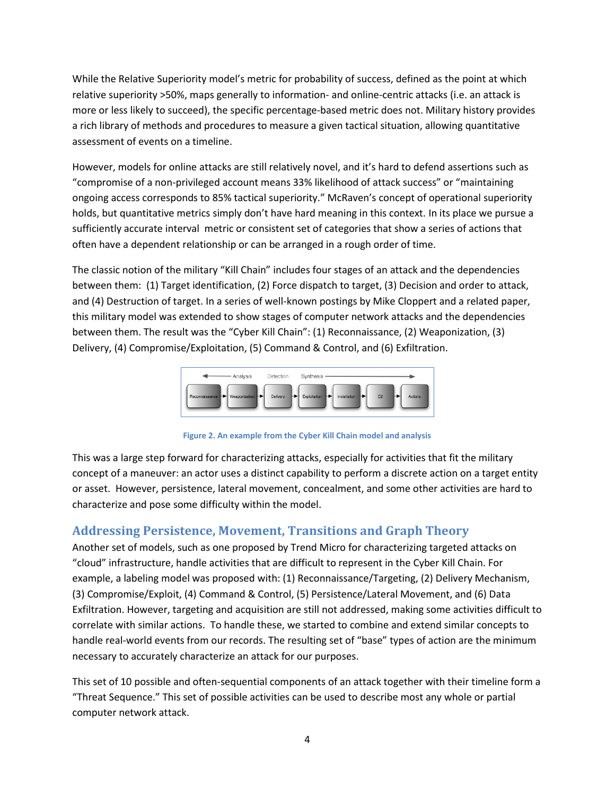While the Relative Superiority model's metric for probability of success, defined as the point at which relative superiority >50%, maps generally to information- and online-centric attacks (i.e. an attack is more or less likely to succeed), the specific percentage-based metric does not. Military history provides a rich library of methods and procedures to measure a given tactical situation, allowing quantitative assessment of events on a timeline.

However, models for online attacks are still relatively novel, and it's hard to defend assertions such as "compromise of a non-privileged account means 33% likelihood of attack success" or "maintaining ongoing access corresponds to 85% tactical superiority." McRaven's concept of operational superiority holds, but quantitative metrics simply don't have hard meaning in this context. In its place we pursue a sufficiently accurate interval metric or consistent set of categories that show a series of actions that often have a dependent relationship or can be arranged in a rough order of time.

The classic notion of the military "Kill Chain" includes four stages of an attack and the dependencies between them: (1) Target identification, (2) Force dispatch to target, (3) Decision and order to attack, and (4) Destruction of target. In a series of well-known postings by Mike Cloppert and a related paper, this military model was extended to show stages of computer network attacks and the dependencies between them. The result was the "Cyber Kill Chain": (1) Reconnaissance, (2) Weaponization, (3) Delivery, (4) Compromise/Exploitation, (5) Command & Control, and (6) Exfiltration.



**Figure 2. An example from the Cyber Kill Chain model and analysis**

This was a large step forward for characterizing attacks, especially for activities that fit the military concept of a maneuver: an actor uses a distinct capability to perform a discrete action on a target entity or asset. However, persistence, lateral movement, concealment, and some other activities are hard to characterize and pose some difficulty within the model.

### **Addressing Persistence, Movement, Transitions and Graph Theory**

Another set of models, such as one proposed by Trend Micro for characterizing targeted attacks on "cloud" infrastructure, handle activities that are difficult to represent in the Cyber Kill Chain. For example, a labeling model was proposed with: (1) Reconnaissance/Targeting, (2) Delivery Mechanism, (3) Compromise/Exploit, (4) Command & Control, (5) Persistence/Lateral Movement, and (6) Data Exfiltration. However, targeting and acquisition are still not addressed, making some activities difficult to correlate with similar actions. To handle these, we started to combine and extend similar concepts to handle real-world events from our records. The resulting set of "base" types of action are the minimum necessary to accurately characterize an attack for our purposes.

This set of 10 possible and often-sequential components of an attack together with their timeline form a "Threat Sequence." This set of possible activities can be used to describe most any whole or partial computer network attack.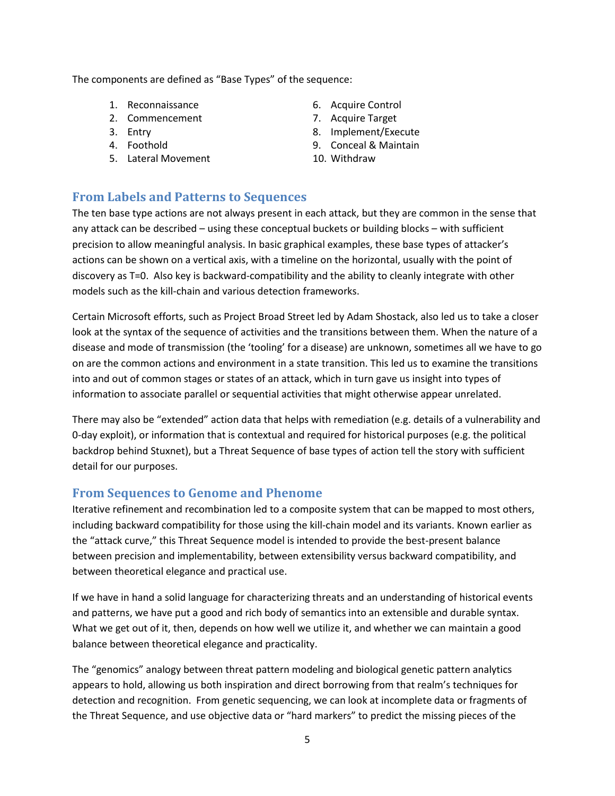The components are defined as "Base Types" of the sequence:

- 1. Reconnaissance
- 2. Commencement
- 3. Entry
- 4. Foothold
- 5. Lateral Movement
- 6. Acquire Control
- 7. Acquire Target
- 8. Implement/Execute
- 9. Conceal & Maintain
- 10. Withdraw

### **From Labels and Patterns to Sequences**

The ten base type actions are not always present in each attack, but they are common in the sense that any attack can be described – using these conceptual buckets or building blocks – with sufficient precision to allow meaningful analysis. In basic graphical examples, these base types of attacker's actions can be shown on a vertical axis, with a timeline on the horizontal, usually with the point of discovery as T=0. Also key is backward-compatibility and the ability to cleanly integrate with other models such as the kill-chain and various detection frameworks.

Certain Microsoft efforts, such as Project Broad Street led by Adam Shostack, also led us to take a closer look at the syntax of the sequence of activities and the transitions between them. When the nature of a disease and mode of transmission (the 'tooling' for a disease) are unknown, sometimes all we have to go on are the common actions and environment in a state transition. This led us to examine the transitions into and out of common stages or states of an attack, which in turn gave us insight into types of information to associate parallel or sequential activities that might otherwise appear unrelated.

There may also be "extended" action data that helps with remediation (e.g. details of a vulnerability and 0-day exploit), or information that is contextual and required for historical purposes (e.g. the political backdrop behind Stuxnet), but a Threat Sequence of base types of action tell the story with sufficient detail for our purposes.

### **From Sequences to Genome and Phenome**

Iterative refinement and recombination led to a composite system that can be mapped to most others, including backward compatibility for those using the kill-chain model and its variants. Known earlier as the "attack curve," this Threat Sequence model is intended to provide the best-present balance between precision and implementability, between extensibility versus backward compatibility, and between theoretical elegance and practical use.

If we have in hand a solid language for characterizing threats and an understanding of historical events and patterns, we have put a good and rich body of semantics into an extensible and durable syntax. What we get out of it, then, depends on how well we utilize it, and whether we can maintain a good balance between theoretical elegance and practicality.

The "genomics" analogy between threat pattern modeling and biological genetic pattern analytics appears to hold, allowing us both inspiration and direct borrowing from that realm's techniques for detection and recognition. From genetic sequencing, we can look at incomplete data or fragments of the Threat Sequence, and use objective data or "hard markers" to predict the missing pieces of the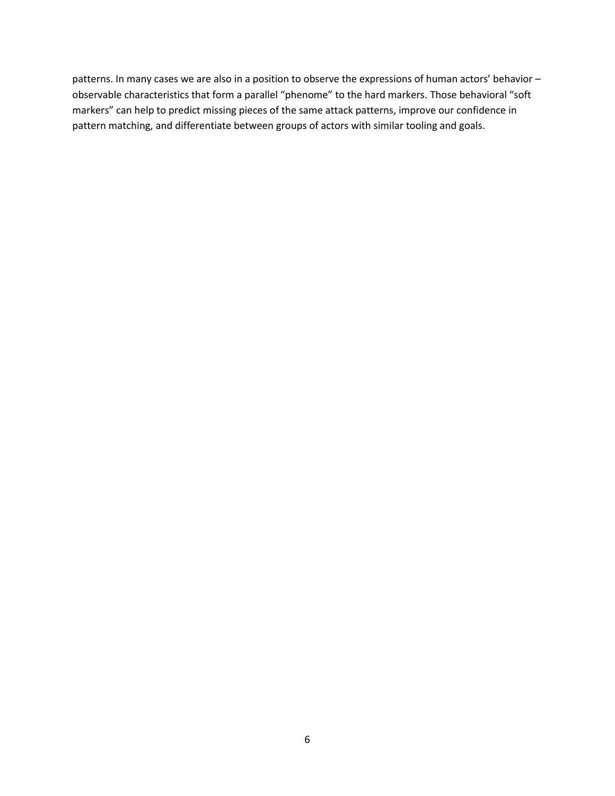patterns. In many cases we are also in a position to observe the expressions of human actors' behavior – observable characteristics that form a parallel "phenome" to the hard markers. Those behavioral "soft markers" can help to predict missing pieces of the same attack patterns, improve our confidence in pattern matching, and differentiate between groups of actors with similar tooling and goals.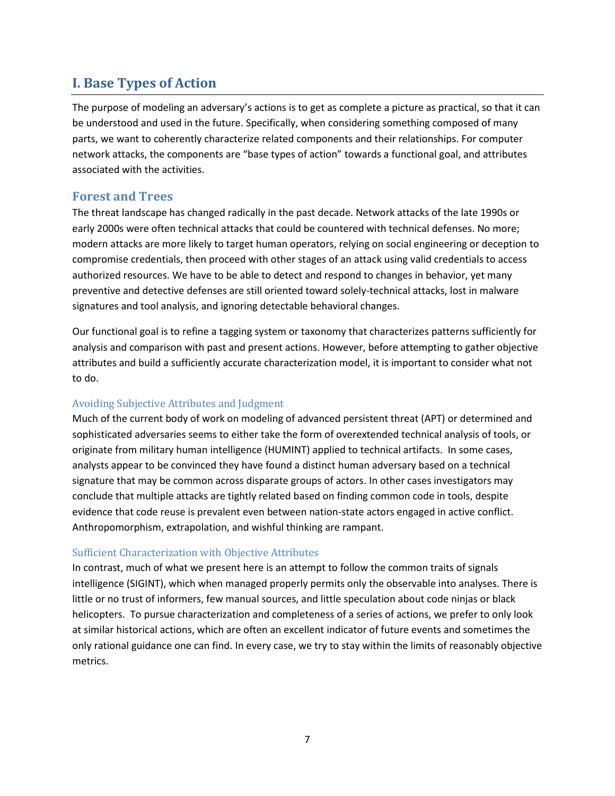# <span id="page-6-0"></span>**I. Base Types of Action**

The purpose of modeling an adversary's actions is to get as complete a picture as practical, so that it can be understood and used in the future. Specifically, when considering something composed of many parts, we want to coherently characterize related components and their relationships. For computer network attacks, the components are "base types of action" towards a functional goal, and attributes associated with the activities.

### **Forest and Trees**

The threat landscape has changed radically in the past decade. Network attacks of the late 1990s or early 2000s were often technical attacks that could be countered with technical defenses. No more; modern attacks are more likely to target human operators, relying on social engineering or deception to compromise credentials, then proceed with other stages of an attack using valid credentials to access authorized resources. We have to be able to detect and respond to changes in behavior, yet many preventive and detective defenses are still oriented toward solely-technical attacks, lost in malware signatures and tool analysis, and ignoring detectable behavioral changes.

Our functional goal is to refine a tagging system or taxonomy that characterizes patterns sufficiently for analysis and comparison with past and present actions. However, before attempting to gather objective attributes and build a sufficiently accurate characterization model, it is important to consider what not to do.

### Avoiding Subjective Attributes and Judgment

Much of the current body of work on modeling of advanced persistent threat (APT) or determined and sophisticated adversaries seems to either take the form of overextended technical analysis of tools, or originate from military human intelligence (HUMINT) applied to technical artifacts. In some cases, analysts appear to be convinced they have found a distinct human adversary based on a technical signature that may be common across disparate groups of actors. In other cases investigators may conclude that multiple attacks are tightly related based on finding common code in tools, despite evidence that code reuse is prevalent even between nation-state actors engaged in active conflict. Anthropomorphism, extrapolation, and wishful thinking are rampant.

### Sufficient Characterization with Objective Attributes

In contrast, much of what we present here is an attempt to follow the common traits of signals intelligence (SIGINT), which when managed properly permits only the observable into analyses. There is little or no trust of informers, few manual sources, and little speculation about code ninjas or black helicopters. To pursue characterization and completeness of a series of actions, we prefer to only look at similar historical actions, which are often an excellent indicator of future events and sometimes the only rational guidance one can find. In every case, we try to stay within the limits of reasonably objective metrics.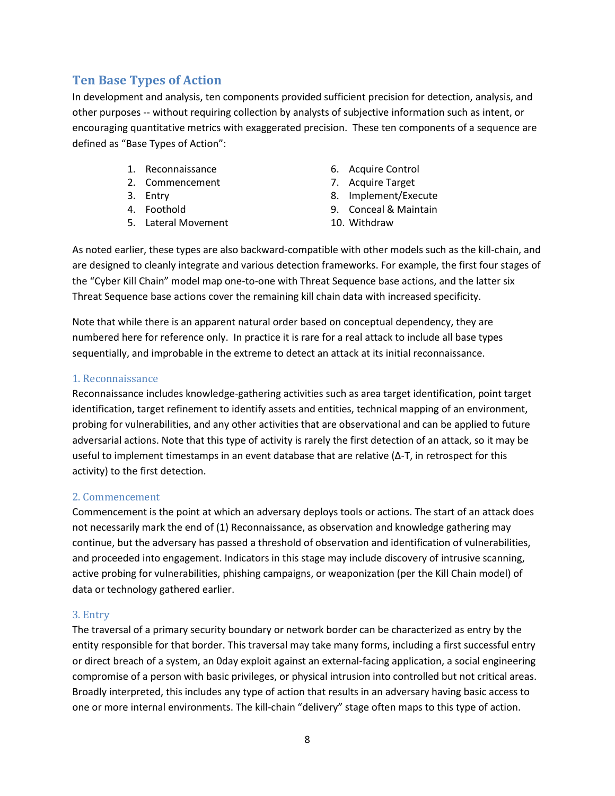### **Ten Base Types of Action**

In development and analysis, ten components provided sufficient precision for detection, analysis, and other purposes -- without requiring collection by analysts of subjective information such as intent, or encouraging quantitative metrics with exaggerated precision. These ten components of a sequence are defined as "Base Types of Action":

- 1. Reconnaissance
- 2. Commencement
- 3. Entry
- 4. Foothold
- 5. Lateral Movement
- 6. Acquire Control
- 7. Acquire Target
- 8. Implement/Execute
- 9. Conceal & Maintain
- 10. Withdraw

As noted earlier, these types are also backward-compatible with other models such as the kill-chain, and are designed to cleanly integrate and various detection frameworks. For example, the first four stages of the "Cyber Kill Chain" model map one-to-one with Threat Sequence base actions, and the latter six Threat Sequence base actions cover the remaining kill chain data with increased specificity.

Note that while there is an apparent natural order based on conceptual dependency, they are numbered here for reference only. In practice it is rare for a real attack to include all base types sequentially, and improbable in the extreme to detect an attack at its initial reconnaissance.

### 1. Reconnaissance

Reconnaissance includes knowledge-gathering activities such as area target identification, point target identification, target refinement to identify assets and entities, technical mapping of an environment, probing for vulnerabilities, and any other activities that are observational and can be applied to future adversarial actions. Note that this type of activity is rarely the first detection of an attack, so it may be useful to implement timestamps in an event database that are relative (Δ-T, in retrospect for this activity) to the first detection.

### 2. Commencement

Commencement is the point at which an adversary deploys tools or actions. The start of an attack does not necessarily mark the end of (1) Reconnaissance, as observation and knowledge gathering may continue, but the adversary has passed a threshold of observation and identification of vulnerabilities, and proceeded into engagement. Indicators in this stage may include discovery of intrusive scanning, active probing for vulnerabilities, phishing campaigns, or weaponization (per the Kill Chain model) of data or technology gathered earlier.

#### 3. Entry

The traversal of a primary security boundary or network border can be characterized as entry by the entity responsible for that border. This traversal may take many forms, including a first successful entry or direct breach of a system, an 0day exploit against an external-facing application, a social engineering compromise of a person with basic privileges, or physical intrusion into controlled but not critical areas. Broadly interpreted, this includes any type of action that results in an adversary having basic access to one or more internal environments. The kill-chain "delivery" stage often maps to this type of action.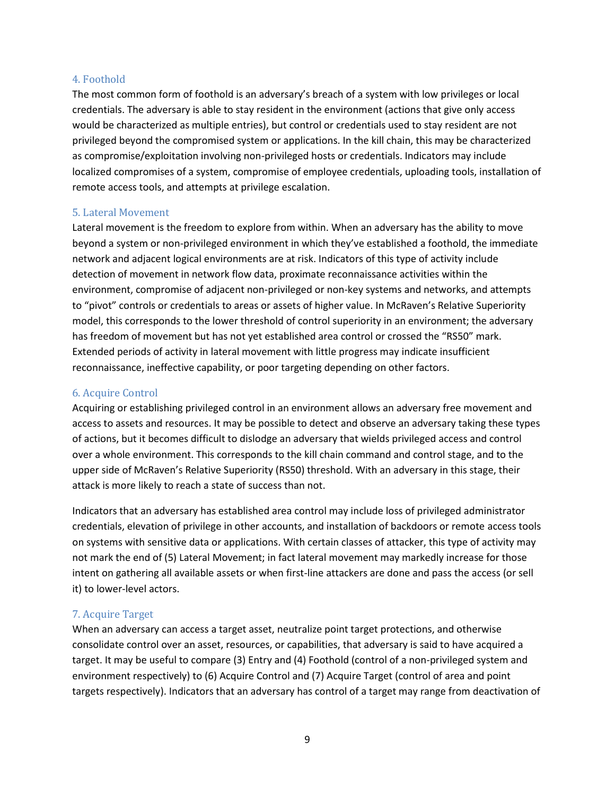#### 4. Foothold

The most common form of foothold is an adversary's breach of a system with low privileges or local credentials. The adversary is able to stay resident in the environment (actions that give only access would be characterized as multiple entries), but control or credentials used to stay resident are not privileged beyond the compromised system or applications. In the kill chain, this may be characterized as compromise/exploitation involving non-privileged hosts or credentials. Indicators may include localized compromises of a system, compromise of employee credentials, uploading tools, installation of remote access tools, and attempts at privilege escalation.

#### 5. Lateral Movement

Lateral movement is the freedom to explore from within. When an adversary has the ability to move beyond a system or non-privileged environment in which they've established a foothold, the immediate network and adjacent logical environments are at risk. Indicators of this type of activity include detection of movement in network flow data, proximate reconnaissance activities within the environment, compromise of adjacent non-privileged or non-key systems and networks, and attempts to "pivot" controls or credentials to areas or assets of higher value. In McRaven's Relative Superiority model, this corresponds to the lower threshold of control superiority in an environment; the adversary has freedom of movement but has not yet established area control or crossed the "RS50" mark. Extended periods of activity in lateral movement with little progress may indicate insufficient reconnaissance, ineffective capability, or poor targeting depending on other factors.

#### 6. Acquire Control

Acquiring or establishing privileged control in an environment allows an adversary free movement and access to assets and resources. It may be possible to detect and observe an adversary taking these types of actions, but it becomes difficult to dislodge an adversary that wields privileged access and control over a whole environment. This corresponds to the kill chain command and control stage, and to the upper side of McRaven's Relative Superiority (RS50) threshold. With an adversary in this stage, their attack is more likely to reach a state of success than not.

Indicators that an adversary has established area control may include loss of privileged administrator credentials, elevation of privilege in other accounts, and installation of backdoors or remote access tools on systems with sensitive data or applications. With certain classes of attacker, this type of activity may not mark the end of (5) Lateral Movement; in fact lateral movement may markedly increase for those intent on gathering all available assets or when first-line attackers are done and pass the access (or sell it) to lower-level actors.

#### 7. Acquire Target

When an adversary can access a target asset, neutralize point target protections, and otherwise consolidate control over an asset, resources, or capabilities, that adversary is said to have acquired a target. It may be useful to compare (3) Entry and (4) Foothold (control of a non-privileged system and environment respectively) to (6) Acquire Control and (7) Acquire Target (control of area and point targets respectively). Indicators that an adversary has control of a target may range from deactivation of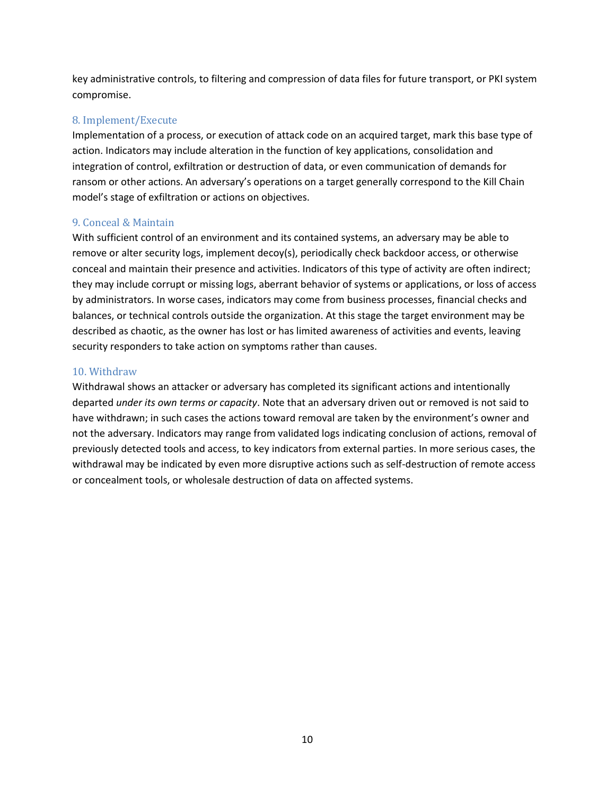key administrative controls, to filtering and compression of data files for future transport, or PKI system compromise.

### 8. Implement/Execute

Implementation of a process, or execution of attack code on an acquired target, mark this base type of action. Indicators may include alteration in the function of key applications, consolidation and integration of control, exfiltration or destruction of data, or even communication of demands for ransom or other actions. An adversary's operations on a target generally correspond to the Kill Chain model's stage of exfiltration or actions on objectives.

### 9. Conceal & Maintain

With sufficient control of an environment and its contained systems, an adversary may be able to remove or alter security logs, implement decoy(s), periodically check backdoor access, or otherwise conceal and maintain their presence and activities. Indicators of this type of activity are often indirect; they may include corrupt or missing logs, aberrant behavior of systems or applications, or loss of access by administrators. In worse cases, indicators may come from business processes, financial checks and balances, or technical controls outside the organization. At this stage the target environment may be described as chaotic, as the owner has lost or has limited awareness of activities and events, leaving security responders to take action on symptoms rather than causes.

### 10. Withdraw

Withdrawal shows an attacker or adversary has completed its significant actions and intentionally departed *under its own terms or capacity*. Note that an adversary driven out or removed is not said to have withdrawn; in such cases the actions toward removal are taken by the environment's owner and not the adversary. Indicators may range from validated logs indicating conclusion of actions, removal of previously detected tools and access, to key indicators from external parties. In more serious cases, the withdrawal may be indicated by even more disruptive actions such as self-destruction of remote access or concealment tools, or wholesale destruction of data on affected systems.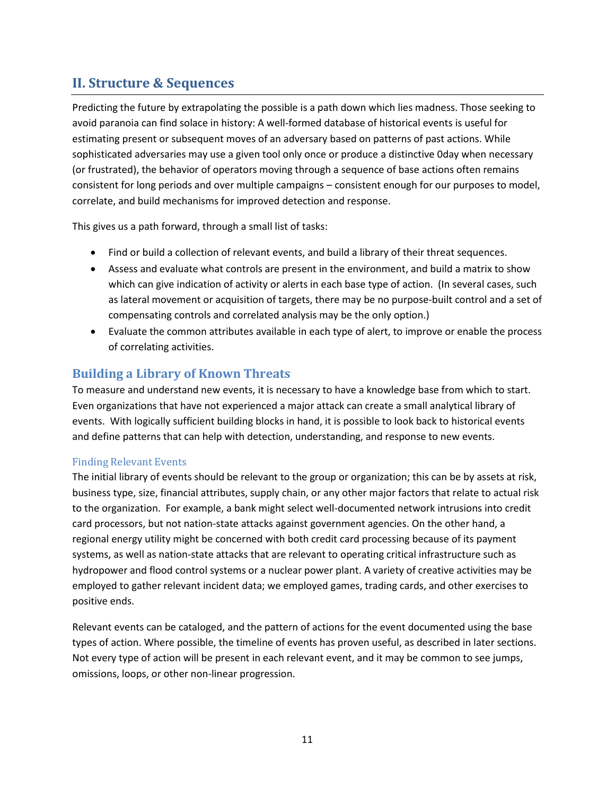# <span id="page-10-0"></span>**II. Structure & Sequences**

Predicting the future by extrapolating the possible is a path down which lies madness. Those seeking to avoid paranoia can find solace in history: A well-formed database of historical events is useful for estimating present or subsequent moves of an adversary based on patterns of past actions. While sophisticated adversaries may use a given tool only once or produce a distinctive 0day when necessary (or frustrated), the behavior of operators moving through a sequence of base actions often remains consistent for long periods and over multiple campaigns – consistent enough for our purposes to model, correlate, and build mechanisms for improved detection and response.

This gives us a path forward, through a small list of tasks:

- Find or build a collection of relevant events, and build a library of their threat sequences.
- Assess and evaluate what controls are present in the environment, and build a matrix to show which can give indication of activity or alerts in each base type of action. (In several cases, such as lateral movement or acquisition of targets, there may be no purpose-built control and a set of compensating controls and correlated analysis may be the only option.)
- Evaluate the common attributes available in each type of alert, to improve or enable the process of correlating activities.

### **Building a Library of Known Threats**

To measure and understand new events, it is necessary to have a knowledge base from which to start. Even organizations that have not experienced a major attack can create a small analytical library of events. With logically sufficient building blocks in hand, it is possible to look back to historical events and define patterns that can help with detection, understanding, and response to new events.

### Finding Relevant Events

The initial library of events should be relevant to the group or organization; this can be by assets at risk, business type, size, financial attributes, supply chain, or any other major factors that relate to actual risk to the organization. For example, a bank might select well-documented network intrusions into credit card processors, but not nation-state attacks against government agencies. On the other hand, a regional energy utility might be concerned with both credit card processing because of its payment systems, as well as nation-state attacks that are relevant to operating critical infrastructure such as hydropower and flood control systems or a nuclear power plant. A variety of creative activities may be employed to gather relevant incident data; we employed games, trading cards, and other exercises to positive ends.

Relevant events can be cataloged, and the pattern of actions for the event documented using the base types of action. Where possible, the timeline of events has proven useful, as described in later sections. Not every type of action will be present in each relevant event, and it may be common to see jumps, omissions, loops, or other non-linear progression.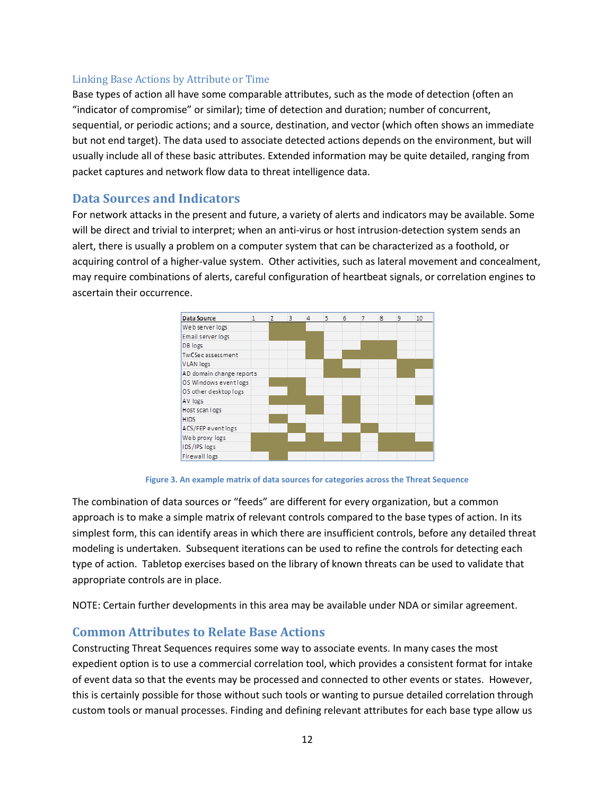#### Linking Base Actions by Attribute or Time

Base types of action all have some comparable attributes, such as the mode of detection (often an "indicator of compromise" or similar); time of detection and duration; number of concurrent, sequential, or periodic actions; and a source, destination, and vector (which often shows an immediate but not end target). The data used to associate detected actions depends on the environment, but will usually include all of these basic attributes. Extended information may be quite detailed, ranging from packet captures and network flow data to threat intelligence data.

### **Data Sources and Indicators**

For network attacks in the present and future, a variety of alerts and indicators may be available. Some will be direct and trivial to interpret; when an anti-virus or host intrusion-detection system sends an alert, there is usually a problem on a computer system that can be characterized as a foothold, or acquiring control of a higher-value system. Other activities, such as lateral movement and concealment, may require combinations of alerts, careful configuration of heartbeat signals, or correlation engines to ascertain their occurrence.





The combination of data sources or "feeds" are different for every organization, but a common approach is to make a simple matrix of relevant controls compared to the base types of action. In its simplest form, this can identify areas in which there are insufficient controls, before any detailed threat modeling is undertaken. Subsequent iterations can be used to refine the controls for detecting each type of action. Tabletop exercises based on the library of known threats can be used to validate that appropriate controls are in place.

NOTE: Certain further developments in this area may be available under NDA or similar agreement.

### **Common Attributes to Relate Base Actions**

Constructing Threat Sequences requires some way to associate events. In many cases the most expedient option is to use a commercial correlation tool, which provides a consistent format for intake of event data so that the events may be processed and connected to other events or states. However, this is certainly possible for those without such tools or wanting to pursue detailed correlation through custom tools or manual processes. Finding and defining relevant attributes for each base type allow us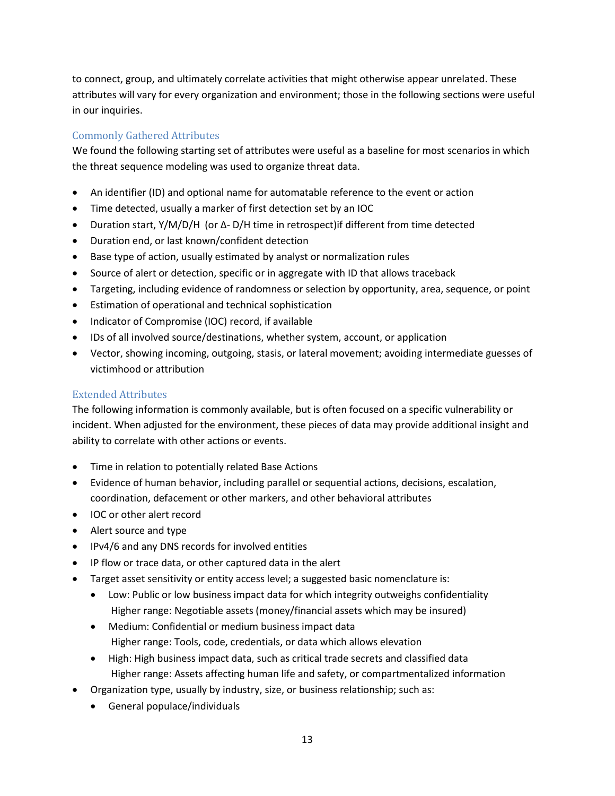to connect, group, and ultimately correlate activities that might otherwise appear unrelated. These attributes will vary for every organization and environment; those in the following sections were useful in our inquiries.

### Commonly Gathered Attributes

We found the following starting set of attributes were useful as a baseline for most scenarios in which the threat sequence modeling was used to organize threat data.

- An identifier (ID) and optional name for automatable reference to the event or action
- Time detected, usually a marker of first detection set by an IOC
- Duration start, Y/M/D/H (or ∆- D/H time in retrospect)if different from time detected
- Duration end, or last known/confident detection
- Base type of action, usually estimated by analyst or normalization rules
- Source of alert or detection, specific or in aggregate with ID that allows traceback
- Targeting, including evidence of randomness or selection by opportunity, area, sequence, or point
- Estimation of operational and technical sophistication
- Indicator of Compromise (IOC) record, if available
- IDs of all involved source/destinations, whether system, account, or application
- Vector, showing incoming, outgoing, stasis, or lateral movement; avoiding intermediate guesses of victimhood or attribution

### Extended Attributes

The following information is commonly available, but is often focused on a specific vulnerability or incident. When adjusted for the environment, these pieces of data may provide additional insight and ability to correlate with other actions or events.

- Time in relation to potentially related Base Actions
- Evidence of human behavior, including parallel or sequential actions, decisions, escalation, coordination, defacement or other markers, and other behavioral attributes
- IOC or other alert record
- Alert source and type
- IPv4/6 and any DNS records for involved entities
- IP flow or trace data, or other captured data in the alert
- Target asset sensitivity or entity access level; a suggested basic nomenclature is:
	- Low: Public or low business impact data for which integrity outweighs confidentiality Higher range: Negotiable assets (money/financial assets which may be insured)
	- Medium: Confidential or medium business impact data Higher range: Tools, code, credentials, or data which allows elevation
	- High: High business impact data, such as critical trade secrets and classified data Higher range: Assets affecting human life and safety, or compartmentalized information
- Organization type, usually by industry, size, or business relationship; such as:
	- General populace/individuals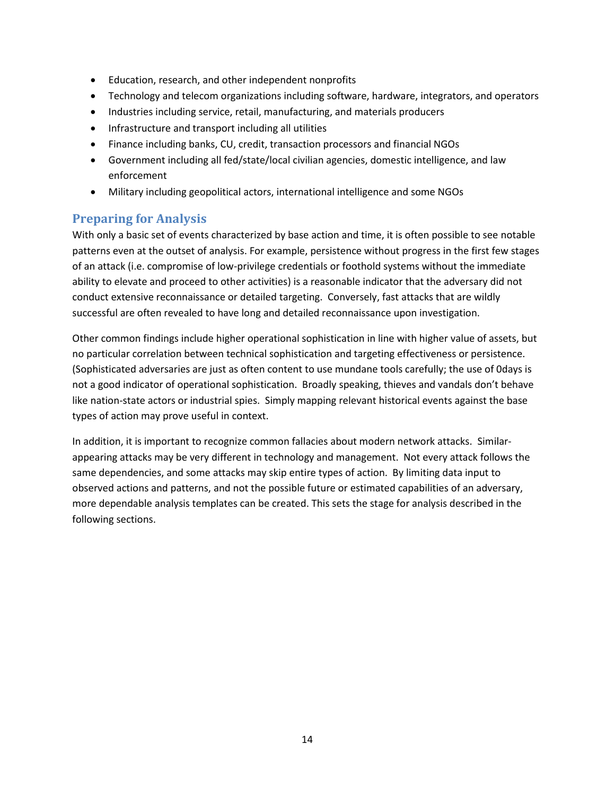- Education, research, and other independent nonprofits
- Technology and telecom organizations including software, hardware, integrators, and operators
- Industries including service, retail, manufacturing, and materials producers
- Infrastructure and transport including all utilities
- Finance including banks, CU, credit, transaction processors and financial NGOs
- Government including all fed/state/local civilian agencies, domestic intelligence, and law enforcement
- Military including geopolitical actors, international intelligence and some NGOs

### **Preparing for Analysis**

With only a basic set of events characterized by base action and time, it is often possible to see notable patterns even at the outset of analysis. For example, persistence without progress in the first few stages of an attack (i.e. compromise of low-privilege credentials or foothold systems without the immediate ability to elevate and proceed to other activities) is a reasonable indicator that the adversary did not conduct extensive reconnaissance or detailed targeting. Conversely, fast attacks that are wildly successful are often revealed to have long and detailed reconnaissance upon investigation.

Other common findings include higher operational sophistication in line with higher value of assets, but no particular correlation between technical sophistication and targeting effectiveness or persistence. (Sophisticated adversaries are just as often content to use mundane tools carefully; the use of 0days is not a good indicator of operational sophistication. Broadly speaking, thieves and vandals don't behave like nation-state actors or industrial spies. Simply mapping relevant historical events against the base types of action may prove useful in context.

In addition, it is important to recognize common fallacies about modern network attacks. Similarappearing attacks may be very different in technology and management. Not every attack follows the same dependencies, and some attacks may skip entire types of action. By limiting data input to observed actions and patterns, and not the possible future or estimated capabilities of an adversary, more dependable analysis templates can be created. This sets the stage for analysis described in the following sections.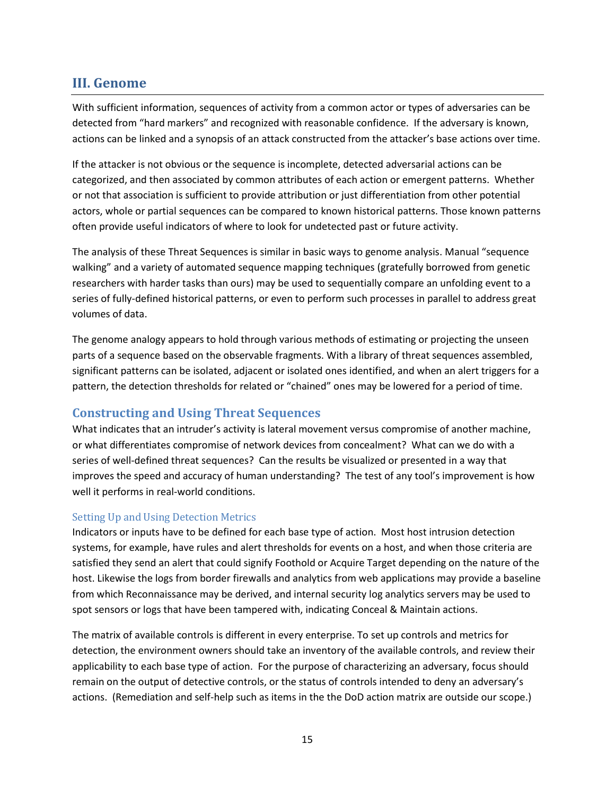### <span id="page-14-0"></span>**III. Genome**

With sufficient information, sequences of activity from a common actor or types of adversaries can be detected from "hard markers" and recognized with reasonable confidence. If the adversary is known, actions can be linked and a synopsis of an attack constructed from the attacker's base actions over time.

If the attacker is not obvious or the sequence is incomplete, detected adversarial actions can be categorized, and then associated by common attributes of each action or emergent patterns. Whether or not that association is sufficient to provide attribution or just differentiation from other potential actors, whole or partial sequences can be compared to known historical patterns. Those known patterns often provide useful indicators of where to look for undetected past or future activity.

The analysis of these Threat Sequences is similar in basic ways to genome analysis. Manual "sequence walking" and a variety of automated sequence mapping techniques (gratefully borrowed from genetic researchers with harder tasks than ours) may be used to sequentially compare an unfolding event to a series of fully-defined historical patterns, or even to perform such processes in parallel to address great volumes of data.

The genome analogy appears to hold through various methods of estimating or projecting the unseen parts of a sequence based on the observable fragments. With a library of threat sequences assembled, significant patterns can be isolated, adjacent or isolated ones identified, and when an alert triggers for a pattern, the detection thresholds for related or "chained" ones may be lowered for a period of time.

### **Constructing and Using Threat Sequences**

What indicates that an intruder's activity is lateral movement versus compromise of another machine, or what differentiates compromise of network devices from concealment? What can we do with a series of well-defined threat sequences? Can the results be visualized or presented in a way that improves the speed and accuracy of human understanding? The test of any tool's improvement is how well it performs in real-world conditions.

#### Setting Up and Using Detection Metrics

Indicators or inputs have to be defined for each base type of action. Most host intrusion detection systems, for example, have rules and alert thresholds for events on a host, and when those criteria are satisfied they send an alert that could signify Foothold or Acquire Target depending on the nature of the host. Likewise the logs from border firewalls and analytics from web applications may provide a baseline from which Reconnaissance may be derived, and internal security log analytics servers may be used to spot sensors or logs that have been tampered with, indicating Conceal & Maintain actions.

The matrix of available controls is different in every enterprise. To set up controls and metrics for detection, the environment owners should take an inventory of the available controls, and review their applicability to each base type of action. For the purpose of characterizing an adversary, focus should remain on the output of detective controls, or the status of controls intended to deny an adversary's actions. (Remediation and self-help such as items in the the DoD action matrix are outside our scope.)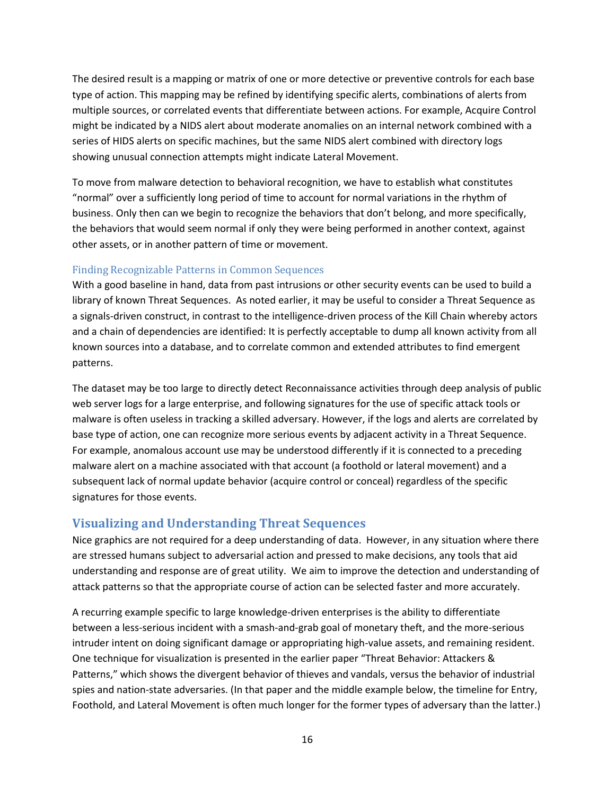The desired result is a mapping or matrix of one or more detective or preventive controls for each base type of action. This mapping may be refined by identifying specific alerts, combinations of alerts from multiple sources, or correlated events that differentiate between actions. For example, Acquire Control might be indicated by a NIDS alert about moderate anomalies on an internal network combined with a series of HIDS alerts on specific machines, but the same NIDS alert combined with directory logs showing unusual connection attempts might indicate Lateral Movement.

To move from malware detection to behavioral recognition, we have to establish what constitutes "normal" over a sufficiently long period of time to account for normal variations in the rhythm of business. Only then can we begin to recognize the behaviors that don't belong, and more specifically, the behaviors that would seem normal if only they were being performed in another context, against other assets, or in another pattern of time or movement.

### Finding Recognizable Patterns in Common Sequences

With a good baseline in hand, data from past intrusions or other security events can be used to build a library of known Threat Sequences. As noted earlier, it may be useful to consider a Threat Sequence as a signals-driven construct, in contrast to the intelligence-driven process of the Kill Chain whereby actors and a chain of dependencies are identified: It is perfectly acceptable to dump all known activity from all known sources into a database, and to correlate common and extended attributes to find emergent patterns.

The dataset may be too large to directly detect Reconnaissance activities through deep analysis of public web server logs for a large enterprise, and following signatures for the use of specific attack tools or malware is often useless in tracking a skilled adversary. However, if the logs and alerts are correlated by base type of action, one can recognize more serious events by adjacent activity in a Threat Sequence. For example, anomalous account use may be understood differently if it is connected to a preceding malware alert on a machine associated with that account (a foothold or lateral movement) and a subsequent lack of normal update behavior (acquire control or conceal) regardless of the specific signatures for those events.

### **Visualizing and Understanding Threat Sequences**

Nice graphics are not required for a deep understanding of data. However, in any situation where there are stressed humans subject to adversarial action and pressed to make decisions, any tools that aid understanding and response are of great utility. We aim to improve the detection and understanding of attack patterns so that the appropriate course of action can be selected faster and more accurately.

A recurring example specific to large knowledge-driven enterprises is the ability to differentiate between a less-serious incident with a smash-and-grab goal of monetary theft, and the more-serious intruder intent on doing significant damage or appropriating high-value assets, and remaining resident. One technique for visualization is presented in the earlier paper "Threat Behavior: Attackers & Patterns," which shows the divergent behavior of thieves and vandals, versus the behavior of industrial spies and nation-state adversaries. (In that paper and the middle example below, the timeline for Entry, Foothold, and Lateral Movement is often much longer for the former types of adversary than the latter.)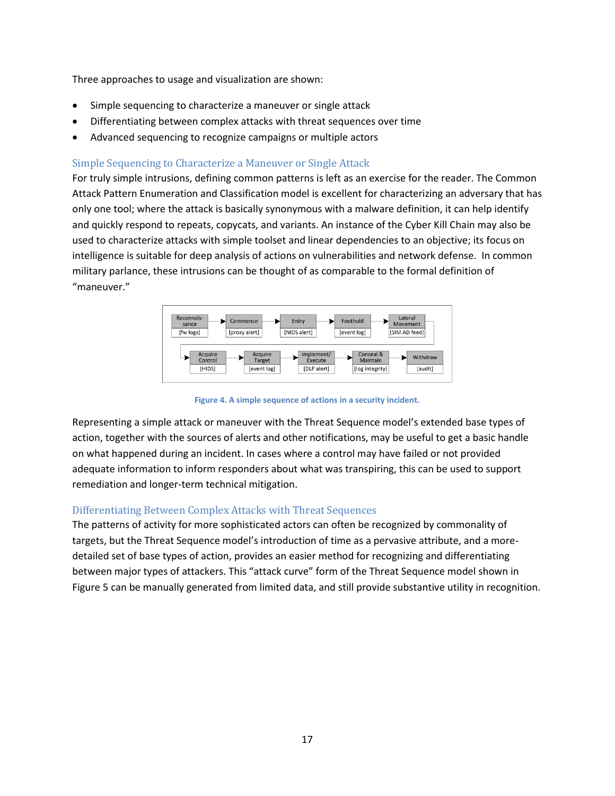Three approaches to usage and visualization are shown:

- Simple sequencing to characterize a maneuver or single attack
- Differentiating between complex attacks with threat sequences over time
- Advanced sequencing to recognize campaigns or multiple actors

### Simple Sequencing to Characterize a Maneuver or Single Attack

For truly simple intrusions, defining common patterns is left as an exercise for the reader. The Common Attack Pattern Enumeration and Classification model is excellent for characterizing an adversary that has only one tool; where the attack is basically synonymous with a malware definition, it can help identify and quickly respond to repeats, copycats, and variants. An instance of the Cyber Kill Chain may also be used to characterize attacks with simple toolset and linear dependencies to an objective; its focus on intelligence is suitable for deep analysis of actions on vulnerabilities and network defense. In common military parlance, these intrusions can be thought of as comparable to the formal definition of "maneuver."



**Figure 4. A simple sequence of actions in a security incident.**

Representing a simple attack or maneuver with the Threat Sequence model's extended base types of action, together with the sources of alerts and other notifications, may be useful to get a basic handle on what happened during an incident. In cases where a control may have failed or not provided adequate information to inform responders about what was transpiring, this can be used to support remediation and longer-term technical mitigation.

### Differentiating Between Complex Attacks with Threat Sequences

The patterns of activity for more sophisticated actors can often be recognized by commonality of targets, but the Threat Sequence model's introduction of time as a pervasive attribute, and a moredetailed set of base types of action, provides an easier method for recognizing and differentiating between major types of attackers. This "attack curve" form of the Threat Sequence model shown in Figure 5 can be manually generated from limited data, and still provide substantive utility in recognition.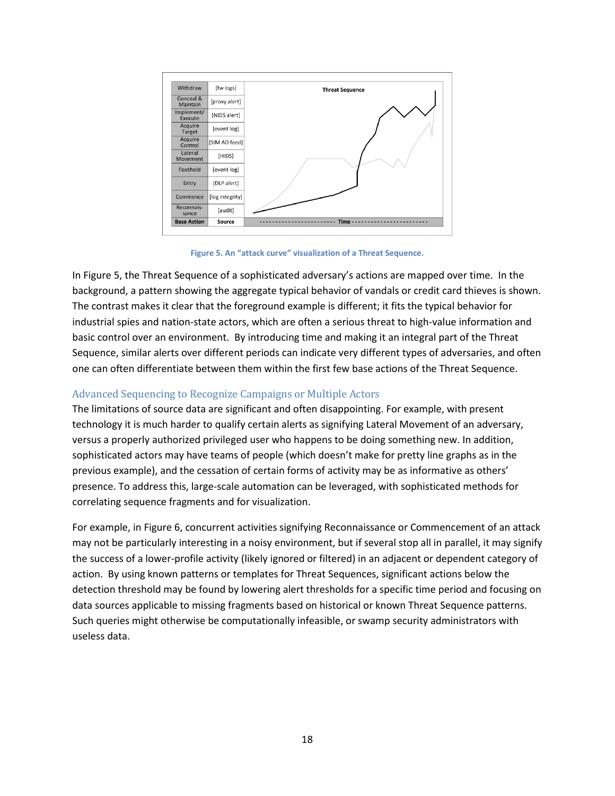

**Figure 5. An "attack curve" visualization of a Threat Sequence.**

In Figure 5, the Threat Sequence of a sophisticated adversary's actions are mapped over time. In the background, a pattern showing the aggregate typical behavior of vandals or credit card thieves is shown. The contrast makes it clear that the foreground example is different; it fits the typical behavior for industrial spies and nation-state actors, which are often a serious threat to high-value information and basic control over an environment. By introducing time and making it an integral part of the Threat Sequence, similar alerts over different periods can indicate very different types of adversaries, and often one can often differentiate between them within the first few base actions of the Threat Sequence.

### Advanced Sequencing to Recognize Campaigns or Multiple Actors

The limitations of source data are significant and often disappointing. For example, with present technology it is much harder to qualify certain alerts as signifying Lateral Movement of an adversary, versus a properly authorized privileged user who happens to be doing something new. In addition, sophisticated actors may have teams of people (which doesn't make for pretty line graphs as in the previous example), and the cessation of certain forms of activity may be as informative as others' presence. To address this, large-scale automation can be leveraged, with sophisticated methods for correlating sequence fragments and for visualization.

For example, in Figure 6, concurrent activities signifying Reconnaissance or Commencement of an attack may not be particularly interesting in a noisy environment, but if several stop all in parallel, it may signify the success of a lower-profile activity (likely ignored or filtered) in an adjacent or dependent category of action. By using known patterns or templates for Threat Sequences, significant actions below the detection threshold may be found by lowering alert thresholds for a specific time period and focusing on data sources applicable to missing fragments based on historical or known Threat Sequence patterns. Such queries might otherwise be computationally infeasible, or swamp security administrators with useless data.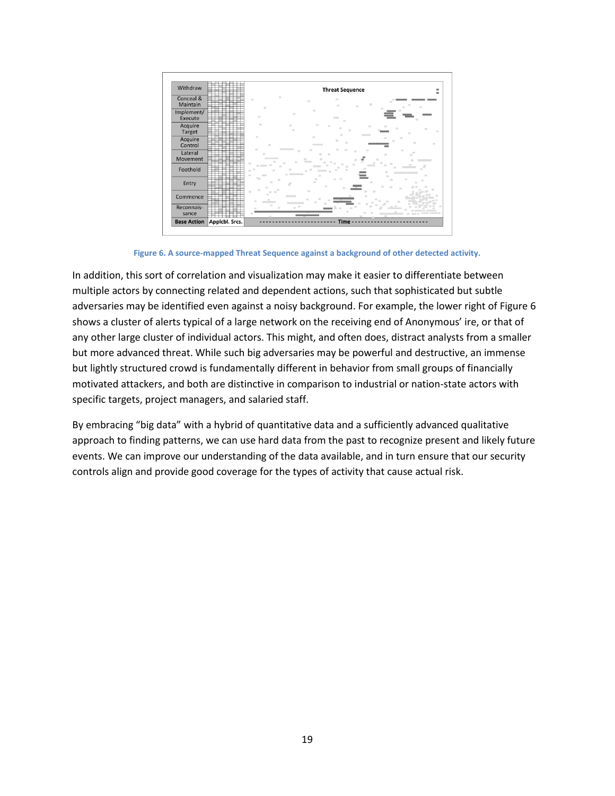

**Figure 6. A source-mapped Threat Sequence against a background of other detected activity.**

In addition, this sort of correlation and visualization may make it easier to differentiate between multiple actors by connecting related and dependent actions, such that sophisticated but subtle adversaries may be identified even against a noisy background. For example, the lower right of Figure 6 shows a cluster of alerts typical of a large network on the receiving end of Anonymous' ire, or that of any other large cluster of individual actors. This might, and often does, distract analysts from a smaller but more advanced threat. While such big adversaries may be powerful and destructive, an immense but lightly structured crowd is fundamentally different in behavior from small groups of financially motivated attackers, and both are distinctive in comparison to industrial or nation-state actors with specific targets, project managers, and salaried staff.

By embracing "big data" with a hybrid of quantitative data and a sufficiently advanced qualitative approach to finding patterns, we can use hard data from the past to recognize present and likely future events. We can improve our understanding of the data available, and in turn ensure that our security controls align and provide good coverage for the types of activity that cause actual risk.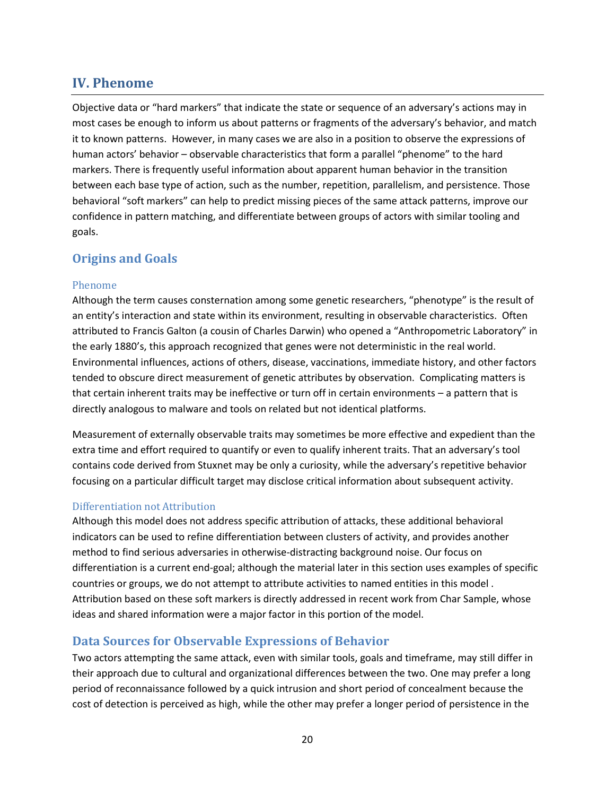### <span id="page-19-0"></span>**IV. Phenome**

Objective data or "hard markers" that indicate the state or sequence of an adversary's actions may in most cases be enough to inform us about patterns or fragments of the adversary's behavior, and match it to known patterns. However, in many cases we are also in a position to observe the expressions of human actors' behavior – observable characteristics that form a parallel "phenome" to the hard markers. There is frequently useful information about apparent human behavior in the transition between each base type of action, such as the number, repetition, parallelism, and persistence. Those behavioral "soft markers" can help to predict missing pieces of the same attack patterns, improve our confidence in pattern matching, and differentiate between groups of actors with similar tooling and goals.

### **Origins and Goals**

### Phenome

Although the term causes consternation among some genetic researchers, "phenotype" is the result of an entity's interaction and state within its environment, resulting in observable characteristics. Often attributed to Francis Galton (a cousin of Charles Darwin) who opened a "Anthropometric Laboratory" in the early 1880's, this approach recognized that genes were not deterministic in the real world. Environmental influences, actions of others, disease, vaccinations, immediate history, and other factors tended to obscure direct measurement of genetic attributes by observation. Complicating matters is that certain inherent traits may be ineffective or turn off in certain environments – a pattern that is directly analogous to malware and tools on related but not identical platforms.

Measurement of externally observable traits may sometimes be more effective and expedient than the extra time and effort required to quantify or even to qualify inherent traits. That an adversary's tool contains code derived from Stuxnet may be only a curiosity, while the adversary's repetitive behavior focusing on a particular difficult target may disclose critical information about subsequent activity.

### Differentiation not Attribution

Although this model does not address specific attribution of attacks, these additional behavioral indicators can be used to refine differentiation between clusters of activity, and provides another method to find serious adversaries in otherwise-distracting background noise. Our focus on differentiation is a current end-goal; although the material later in this section uses examples of specific countries or groups, we do not attempt to attribute activities to named entities in this model . Attribution based on these soft markers is directly addressed in recent work from Char Sample, whose ideas and shared information were a major factor in this portion of the model.

### **Data Sources for Observable Expressions of Behavior**

Two actors attempting the same attack, even with similar tools, goals and timeframe, may still differ in their approach due to cultural and organizational differences between the two. One may prefer a long period of reconnaissance followed by a quick intrusion and short period of concealment because the cost of detection is perceived as high, while the other may prefer a longer period of persistence in the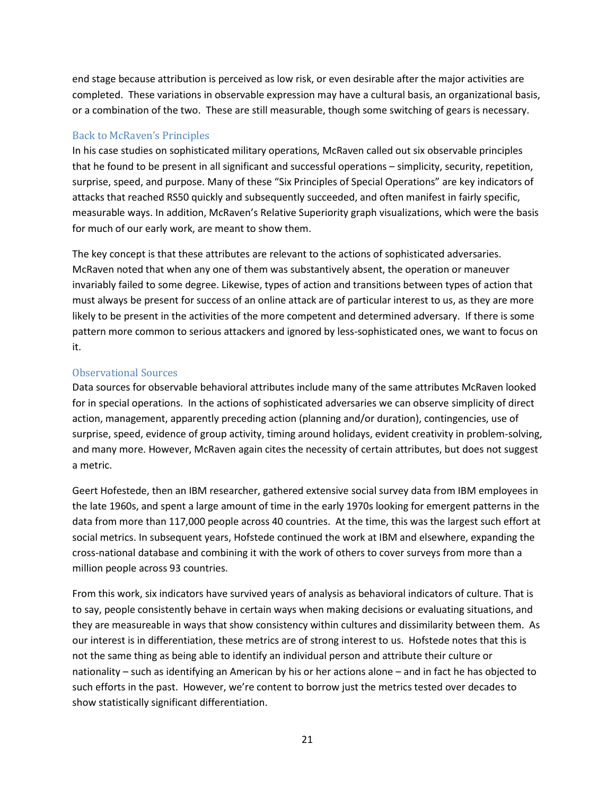end stage because attribution is perceived as low risk, or even desirable after the major activities are completed. These variations in observable expression may have a cultural basis, an organizational basis, or a combination of the two. These are still measurable, though some switching of gears is necessary.

### Back to McRaven's Principles

In his case studies on sophisticated military operations, McRaven called out six observable principles that he found to be present in all significant and successful operations – simplicity, security, repetition, surprise, speed, and purpose. Many of these "Six Principles of Special Operations" are key indicators of attacks that reached RS50 quickly and subsequently succeeded, and often manifest in fairly specific, measurable ways. In addition, McRaven's Relative Superiority graph visualizations, which were the basis for much of our early work, are meant to show them.

The key concept is that these attributes are relevant to the actions of sophisticated adversaries. McRaven noted that when any one of them was substantively absent, the operation or maneuver invariably failed to some degree. Likewise, types of action and transitions between types of action that must always be present for success of an online attack are of particular interest to us, as they are more likely to be present in the activities of the more competent and determined adversary. If there is some pattern more common to serious attackers and ignored by less-sophisticated ones, we want to focus on it.

### Observational Sources

Data sources for observable behavioral attributes include many of the same attributes McRaven looked for in special operations. In the actions of sophisticated adversaries we can observe simplicity of direct action, management, apparently preceding action (planning and/or duration), contingencies, use of surprise, speed, evidence of group activity, timing around holidays, evident creativity in problem-solving, and many more. However, McRaven again cites the necessity of certain attributes, but does not suggest a metric.

Geert Hofestede, then an IBM researcher, gathered extensive social survey data from IBM employees in the late 1960s, and spent a large amount of time in the early 1970s looking for emergent patterns in the data from more than 117,000 people across 40 countries. At the time, this was the largest such effort at social metrics. In subsequent years, Hofstede continued the work at IBM and elsewhere, expanding the cross-national database and combining it with the work of others to cover surveys from more than a million people across 93 countries.

From this work, six indicators have survived years of analysis as behavioral indicators of culture. That is to say, people consistently behave in certain ways when making decisions or evaluating situations, and they are measureable in ways that show consistency within cultures and dissimilarity between them. As our interest is in differentiation, these metrics are of strong interest to us. Hofstede notes that this is not the same thing as being able to identify an individual person and attribute their culture or nationality – such as identifying an American by his or her actions alone – and in fact he has objected to such efforts in the past. However, we're content to borrow just the metrics tested over decades to show statistically significant differentiation.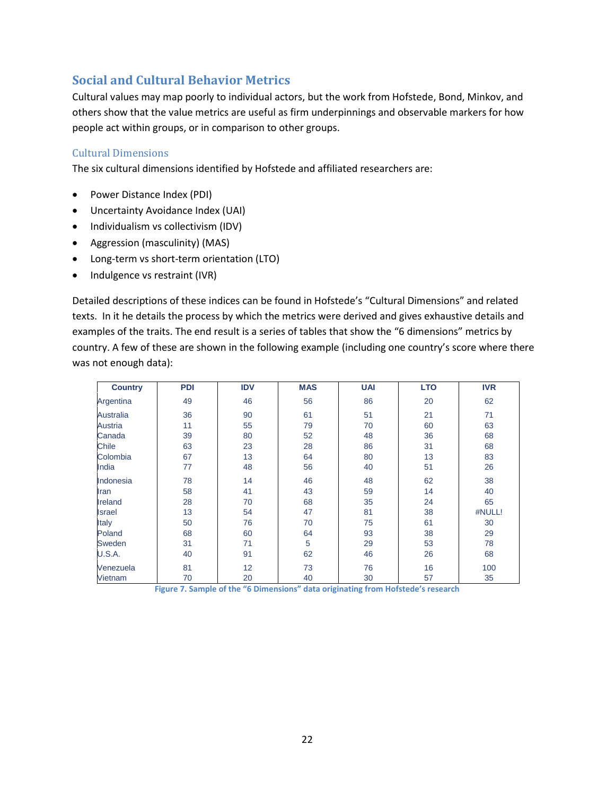### **Social and Cultural Behavior Metrics**

Cultural values may map poorly to individual actors, but the work from Hofstede, Bond, Minkov, and others show that the value metrics are useful as firm underpinnings and observable markers for how people act within groups, or in comparison to other groups.

### Cultural Dimensions

The six cultural dimensions identified by Hofstede and affiliated researchers are:

- Power Distance Index (PDI)
- Uncertainty Avoidance Index (UAI)
- Individualism vs collectivism (IDV)
- Aggression (masculinity) (MAS)
- Long-term vs short-term orientation (LTO)
- Indulgence vs restraint (IVR)

Detailed descriptions of these indices can be found in Hofstede's "Cultural Dimensions" and related texts. In it he details the process by which the metrics were derived and gives exhaustive details and examples of the traits. The end result is a series of tables that show the "6 dimensions" metrics by country. A few of these are shown in the following example (including one country's score where there was not enough data):

| <b>Country</b> | <b>PDI</b> | <b>IDV</b> | <b>MAS</b> | <b>UAI</b> | <b>LTO</b> | <b>IVR</b> |
|----------------|------------|------------|------------|------------|------------|------------|
| Argentina      | 49         | 46         | 56         | 86         | 20         | 62         |
| Australia      | 36         | 90         | 61         | 51         | 21         | 71         |
| Austria        | 11         | 55         | 79         | 70         | 60         | 63         |
| Canada         | 39         | 80         | 52         | 48         | 36         | 68         |
| Chile          | 63         | 23         | 28         | 86         | 31         | 68         |
| Colombia       | 67         | 13         | 64         | 80         | 13         | 83         |
| India          | 77         | 48         | 56         | 40         | 51         | 26         |
| Indonesia      | 78         | 14         | 46         | 48         | 62         | 38         |
| Iran           | 58         | 41         | 43         | 59         | 14         | 40         |
| Ireland        | 28         | 70         | 68         | 35         | 24         | 65         |
| <b>Israel</b>  | 13         | 54         | 47         | 81         | 38         | #NULL!     |
| Italy          | 50         | 76         | 70         | 75         | 61         | 30         |
| Poland         | 68         | 60         | 64         | 93         | 38         | 29         |
| Sweden         | 31         | 71         | 5          | 29         | 53         | 78         |
| <b>U.S.A.</b>  | 40         | 91         | 62         | 46         | 26         | 68         |
| Venezuela      | 81         | 12         | 73         | 76         | 16         | 100        |
| Vietnam        | 70         | 20         | 40         | 30         | 57         | 35         |

**Figure 7. Sample of the "6 Dimensions" data originating from Hofstede's research**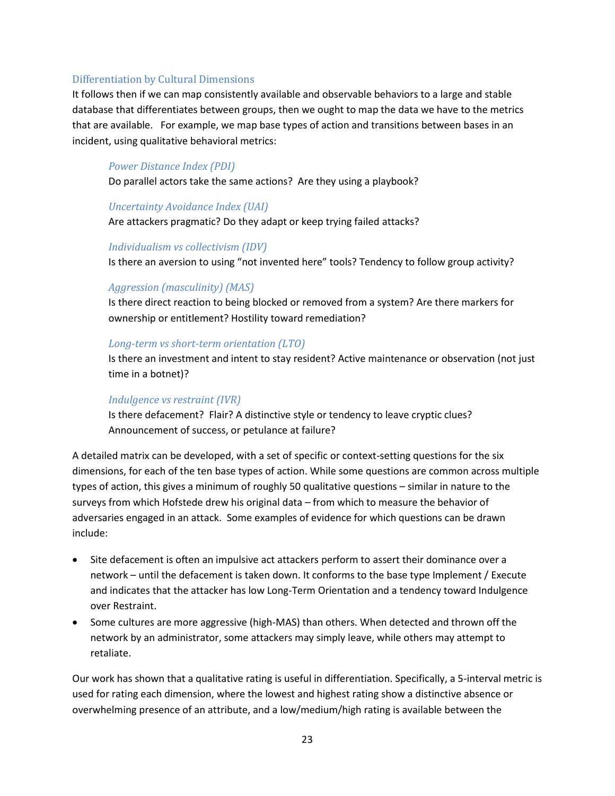#### Differentiation by Cultural Dimensions

It follows then if we can map consistently available and observable behaviors to a large and stable database that differentiates between groups, then we ought to map the data we have to the metrics that are available. For example, we map base types of action and transitions between bases in an incident, using qualitative behavioral metrics:

### *Power Distance Index (PDI)*

Do parallel actors take the same actions? Are they using a playbook?

#### *Uncertainty Avoidance Index (UAI)*

Are attackers pragmatic? Do they adapt or keep trying failed attacks?

### *Individualism vs collectivism (IDV)*

Is there an aversion to using "not invented here" tools? Tendency to follow group activity?

### *Aggression (masculinity) (MAS)*

Is there direct reaction to being blocked or removed from a system? Are there markers for ownership or entitlement? Hostility toward remediation?

### *Long-term vs short-term orientation (LTO)*

Is there an investment and intent to stay resident? Active maintenance or observation (not just time in a botnet)?

#### *Indulgence vs restraint (IVR)*

Is there defacement? Flair? A distinctive style or tendency to leave cryptic clues? Announcement of success, or petulance at failure?

A detailed matrix can be developed, with a set of specific or context-setting questions for the six dimensions, for each of the ten base types of action. While some questions are common across multiple types of action, this gives a minimum of roughly 50 qualitative questions – similar in nature to the surveys from which Hofstede drew his original data – from which to measure the behavior of adversaries engaged in an attack. Some examples of evidence for which questions can be drawn include:

- Site defacement is often an impulsive act attackers perform to assert their dominance over a network – until the defacement is taken down. It conforms to the base type Implement / Execute and indicates that the attacker has low Long-Term Orientation and a tendency toward Indulgence over Restraint.
- Some cultures are more aggressive (high-MAS) than others. When detected and thrown off the network by an administrator, some attackers may simply leave, while others may attempt to retaliate.

Our work has shown that a qualitative rating is useful in differentiation. Specifically, a 5-interval metric is used for rating each dimension, where the lowest and highest rating show a distinctive absence or overwhelming presence of an attribute, and a low/medium/high rating is available between the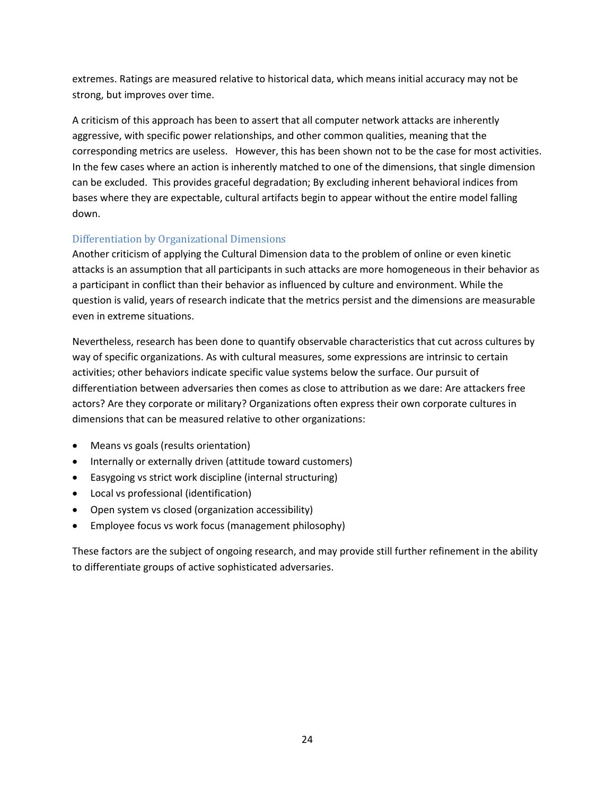extremes. Ratings are measured relative to historical data, which means initial accuracy may not be strong, but improves over time.

A criticism of this approach has been to assert that all computer network attacks are inherently aggressive, with specific power relationships, and other common qualities, meaning that the corresponding metrics are useless. However, this has been shown not to be the case for most activities. In the few cases where an action is inherently matched to one of the dimensions, that single dimension can be excluded. This provides graceful degradation; By excluding inherent behavioral indices from bases where they are expectable, cultural artifacts begin to appear without the entire model falling down.

### Differentiation by Organizational Dimensions

Another criticism of applying the Cultural Dimension data to the problem of online or even kinetic attacks is an assumption that all participants in such attacks are more homogeneous in their behavior as a participant in conflict than their behavior as influenced by culture and environment. While the question is valid, years of research indicate that the metrics persist and the dimensions are measurable even in extreme situations.

Nevertheless, research has been done to quantify observable characteristics that cut across cultures by way of specific organizations. As with cultural measures, some expressions are intrinsic to certain activities; other behaviors indicate specific value systems below the surface. Our pursuit of differentiation between adversaries then comes as close to attribution as we dare: Are attackers free actors? Are they corporate or military? Organizations often express their own corporate cultures in dimensions that can be measured relative to other organizations:

- Means vs goals (results orientation)
- Internally or externally driven (attitude toward customers)
- Easygoing vs strict work discipline (internal structuring)
- Local vs professional (identification)
- Open system vs closed (organization accessibility)
- Employee focus vs work focus (management philosophy)

These factors are the subject of ongoing research, and may provide still further refinement in the ability to differentiate groups of active sophisticated adversaries.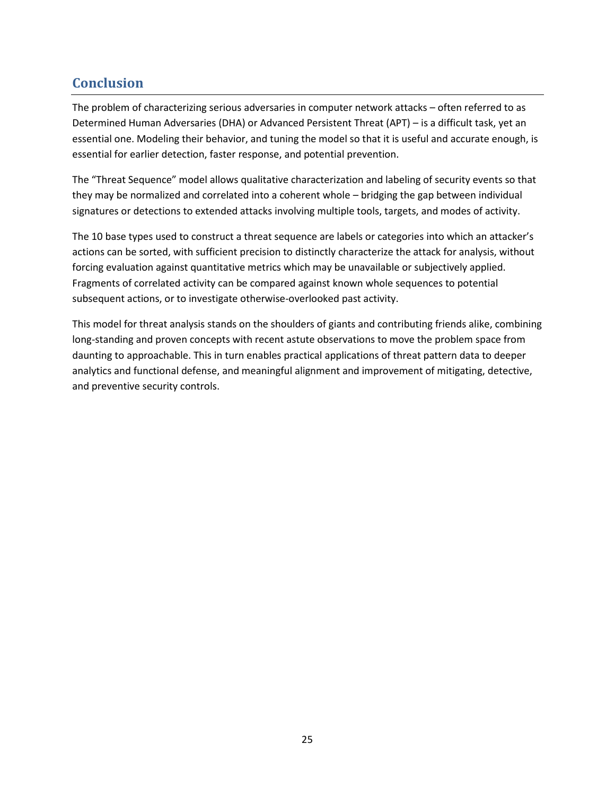# <span id="page-24-0"></span>**Conclusion**

The problem of characterizing serious adversaries in computer network attacks – often referred to as Determined Human Adversaries (DHA) or Advanced Persistent Threat (APT) – is a difficult task, yet an essential one. Modeling their behavior, and tuning the model so that it is useful and accurate enough, is essential for earlier detection, faster response, and potential prevention.

The "Threat Sequence" model allows qualitative characterization and labeling of security events so that they may be normalized and correlated into a coherent whole – bridging the gap between individual signatures or detections to extended attacks involving multiple tools, targets, and modes of activity.

The 10 base types used to construct a threat sequence are labels or categories into which an attacker's actions can be sorted, with sufficient precision to distinctly characterize the attack for analysis, without forcing evaluation against quantitative metrics which may be unavailable or subjectively applied. Fragments of correlated activity can be compared against known whole sequences to potential subsequent actions, or to investigate otherwise-overlooked past activity.

This model for threat analysis stands on the shoulders of giants and contributing friends alike, combining long-standing and proven concepts with recent astute observations to move the problem space from daunting to approachable. This in turn enables practical applications of threat pattern data to deeper analytics and functional defense, and meaningful alignment and improvement of mitigating, detective, and preventive security controls.